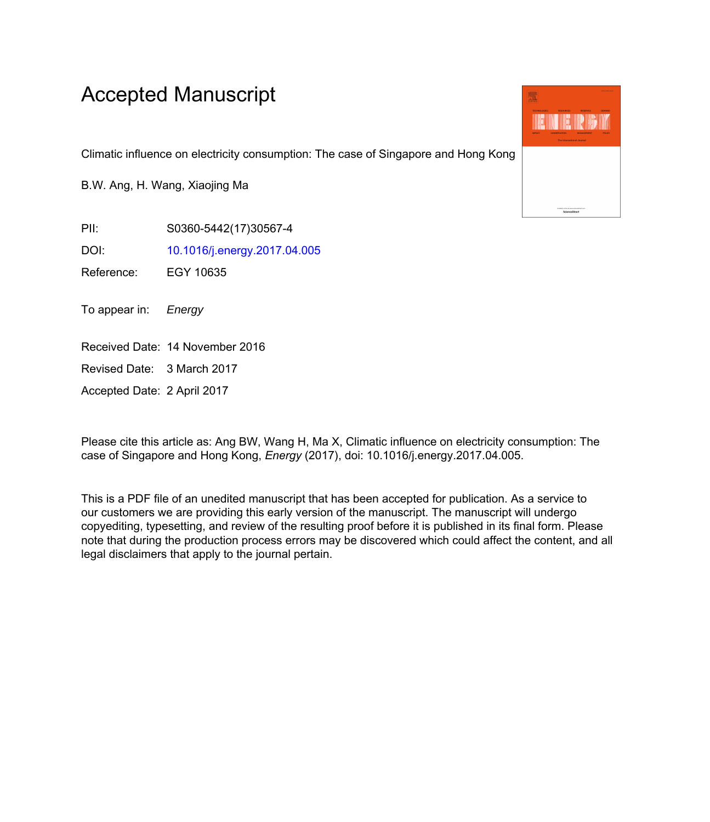## Accepted Manuscript

Climatic influence on electricity consumption: The case of Singapore and Hong Kong

B.W. Ang, H. Wang, Xiaojing Ma

PII: S0360-5442(17)30567-4

DOI: [10.1016/j.energy.2017.04.005](http://dx.doi.org/10.1016/j.energy.2017.04.005)

Reference: EGY 10635

To appear in: Energy

Received Date: 14 November 2016

Revised Date: 3 March 2017

Accepted Date: 2 April 2017

Please cite this article as: Ang BW, Wang H, Ma X, Climatic influence on electricity consumption: The case of Singapore and Hong Kong, *Energy* (2017), doi: 10.1016/j.energy.2017.04.005.

This is a PDF file of an unedited manuscript that has been accepted for publication. As a service to our customers we are providing this early version of the manuscript. The manuscript will undergo copyediting, typesetting, and review of the resulting proof before it is published in its final form. Please note that during the production process errors may be discovered which could affect the content, and all legal disclaimers that apply to the journal pertain.

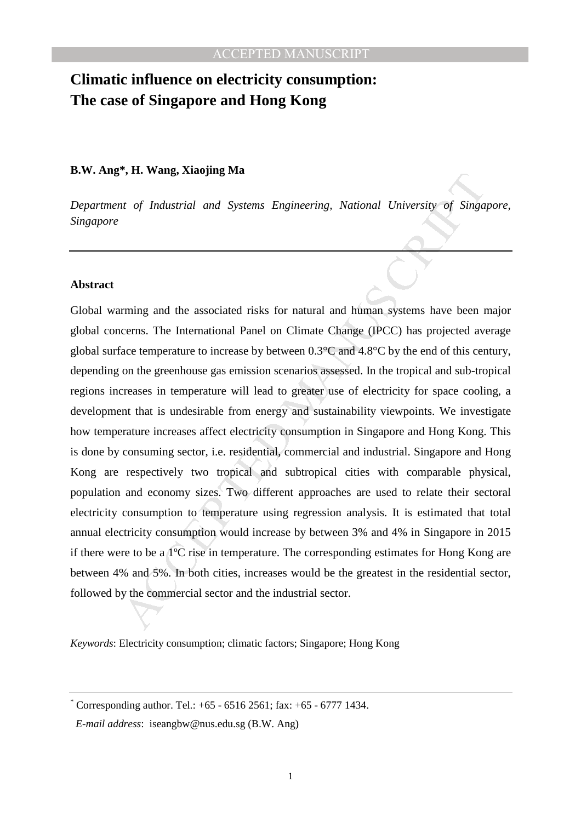## **Climatic influence on electricity consumption: The case of Singapore and Hong Kong**

## **B.W. Ang\*, H. Wang, Xiaojing Ma**

*Department of Industrial and Systems Engineering, National University of Singapore, Singapore* 

## **Abstract**

The *Malustrial and Systems* Engineering, National University of Singa,<br>the of Industrial and Systems Engineering, National University of Singa,<br>minimal and the associated risks for natural and human systems have been r<br>c Global warming and the associated risks for natural and human systems have been major global concerns. The International Panel on Climate Change (IPCC) has projected average global surface temperature to increase by between 0.3°C and 4.8°C by the end of this century, depending on the greenhouse gas emission scenarios assessed. In the tropical and sub-tropical regions increases in temperature will lead to greater use of electricity for space cooling, a development that is undesirable from energy and sustainability viewpoints. We investigate how temperature increases affect electricity consumption in Singapore and Hong Kong. This is done by consuming sector, i.e. residential, commercial and industrial. Singapore and Hong Kong are respectively two tropical and subtropical cities with comparable physical, population and economy sizes. Two different approaches are used to relate their sectoral electricity consumption to temperature using regression analysis. It is estimated that total annual electricity consumption would increase by between 3% and 4% in Singapore in 2015 if there were to be a 1ºC rise in temperature. The corresponding estimates for Hong Kong are between 4% and 5%. In both cities, increases would be the greatest in the residential sector, followed by the commercial sector and the industrial sector.

*Keywords*: Electricity consumption; climatic factors; Singapore; Hong Kong

<sup>\*</sup> Corresponding author. Tel.: +65 - 6516 2561; fax: +65 - 6777 1434.

*E-mail address*: iseangbw@nus.edu.sg (B.W. Ang)